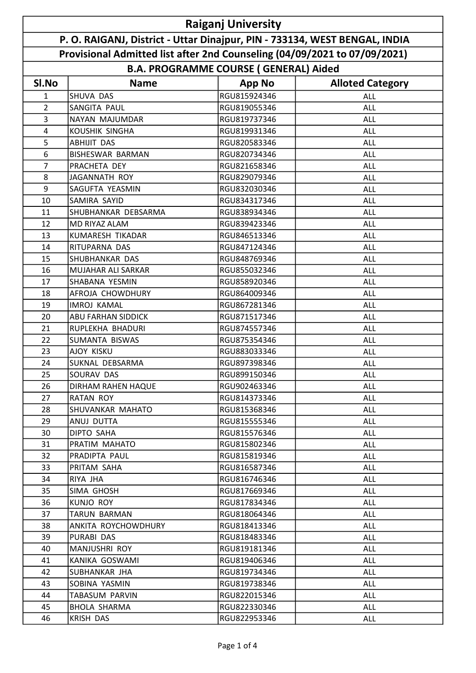| <b>Raiganj University</b>                                                  |                           |               |                         |  |  |  |  |
|----------------------------------------------------------------------------|---------------------------|---------------|-------------------------|--|--|--|--|
| P. O. RAIGANJ, District - Uttar Dinajpur, PIN - 733134, WEST BENGAL, INDIA |                           |               |                         |  |  |  |  |
| Provisional Admitted list after 2nd Counseling (04/09/2021 to 07/09/2021)  |                           |               |                         |  |  |  |  |
| <b>B.A. PROGRAMME COURSE (GENERAL) Aided</b>                               |                           |               |                         |  |  |  |  |
| SI.No                                                                      | <b>Name</b>               | <b>App No</b> | <b>Alloted Category</b> |  |  |  |  |
| 1                                                                          | SHUVA DAS                 | RGU815924346  | ALL                     |  |  |  |  |
| $\overline{2}$                                                             | <b>SANGITA PAUL</b>       | RGU819055346  | <b>ALL</b>              |  |  |  |  |
| 3                                                                          | NAYAN MAJUMDAR            | RGU819737346  | <b>ALL</b>              |  |  |  |  |
| 4                                                                          | KOUSHIK SINGHA            | RGU819931346  | ALL                     |  |  |  |  |
| 5                                                                          | <b>ABHIJIT DAS</b>        | RGU820583346  | <b>ALL</b>              |  |  |  |  |
| 6                                                                          | <b>BISHESWAR BARMAN</b>   | RGU820734346  | ALL                     |  |  |  |  |
| $\overline{7}$                                                             | PRACHETA DEY              | RGU821658346  | <b>ALL</b>              |  |  |  |  |
| 8                                                                          | <b>JAGANNATH ROY</b>      | RGU829079346  | <b>ALL</b>              |  |  |  |  |
| 9                                                                          | SAGUFTA YEASMIN           | RGU832030346  | <b>ALL</b>              |  |  |  |  |
| 10                                                                         | SAMIRA SAYID              | RGU834317346  | <b>ALL</b>              |  |  |  |  |
| 11                                                                         | SHUBHANKAR DEBSARMA       | RGU838934346  | <b>ALL</b>              |  |  |  |  |
| 12                                                                         | MD RIYAZ ALAM             | RGU839423346  | <b>ALL</b>              |  |  |  |  |
| 13                                                                         | <b>KUMARESH TIKADAR</b>   | RGU846513346  | ALL                     |  |  |  |  |
| 14                                                                         | RITUPARNA DAS             | RGU847124346  | <b>ALL</b>              |  |  |  |  |
| 15                                                                         | SHUBHANKAR DAS            | RGU848769346  | <b>ALL</b>              |  |  |  |  |
| 16                                                                         | MUJAHAR ALI SARKAR        | RGU855032346  | <b>ALL</b>              |  |  |  |  |
| 17                                                                         | SHABANA YESMIN            | RGU858920346  | <b>ALL</b>              |  |  |  |  |
| 18                                                                         | AFROJA CHOWDHURY          | RGU864009346  | <b>ALL</b>              |  |  |  |  |
| 19                                                                         | <b>IMROJ KAMAL</b>        | RGU867281346  | ALL                     |  |  |  |  |
| 20                                                                         | <b>ABU FARHAN SIDDICK</b> | RGU871517346  | <b>ALL</b>              |  |  |  |  |
| 21                                                                         | RUPLEKHA BHADURI          | RGU874557346  | <b>ALL</b>              |  |  |  |  |
| 22                                                                         | SUMANTA BISWAS            | RGU875354346  | <b>ALL</b>              |  |  |  |  |
| 23                                                                         | AJOY KISKU                | RGU883033346  | ALL                     |  |  |  |  |
| 24                                                                         | SUKNAL DEBSARMA           | RGU897398346  | <b>ALL</b>              |  |  |  |  |
| 25                                                                         | SOURAV DAS                | RGU899150346  | <b>ALL</b>              |  |  |  |  |
| 26                                                                         | DIRHAM RAHEN HAQUE        | RGU902463346  | <b>ALL</b>              |  |  |  |  |
| 27                                                                         | RATAN ROY                 | RGU814373346  | ALL                     |  |  |  |  |
| 28                                                                         | SHUVANKAR MAHATO          | RGU815368346  | ALL                     |  |  |  |  |
| 29                                                                         | ANUJ DUTTA                | RGU815555346  | ALL                     |  |  |  |  |
| 30                                                                         | DIPTO SAHA                | RGU815576346  | <b>ALL</b>              |  |  |  |  |
| 31                                                                         | PRATIM MAHATO             | RGU815802346  | <b>ALL</b>              |  |  |  |  |
| 32                                                                         | PRADIPTA PAUL             | RGU815819346  | ALL                     |  |  |  |  |
| 33                                                                         | PRITAM SAHA               | RGU816587346  | ALL                     |  |  |  |  |
| 34                                                                         | RIYA JHA                  | RGU816746346  | <b>ALL</b>              |  |  |  |  |
| 35                                                                         | SIMA GHOSH                | RGU817669346  | <b>ALL</b>              |  |  |  |  |
| 36                                                                         | KUNJO ROY                 | RGU817834346  | <b>ALL</b>              |  |  |  |  |
| 37                                                                         | TARUN BARMAN              | RGU818064346  | <b>ALL</b>              |  |  |  |  |
| 38                                                                         | ANKITA ROYCHOWDHURY       | RGU818413346  | <b>ALL</b>              |  |  |  |  |
| 39                                                                         | PURABI DAS                | RGU818483346  | ALL                     |  |  |  |  |
| 40                                                                         | <b>MANJUSHRI ROY</b>      | RGU819181346  | <b>ALL</b>              |  |  |  |  |
| 41                                                                         | KANIKA GOSWAMI            | RGU819406346  | <b>ALL</b>              |  |  |  |  |
| 42                                                                         | SUBHANKAR JHA             | RGU819734346  | ALL                     |  |  |  |  |
| 43                                                                         | SOBINA YASMIN             | RGU819738346  | ALL                     |  |  |  |  |
| 44                                                                         | TABASUM PARVIN            | RGU822015346  | <b>ALL</b>              |  |  |  |  |
| 45                                                                         | <b>BHOLA SHARMA</b>       | RGU822330346  | ALL                     |  |  |  |  |
| 46                                                                         | <b>KRISH DAS</b>          | RGU822953346  | ALL                     |  |  |  |  |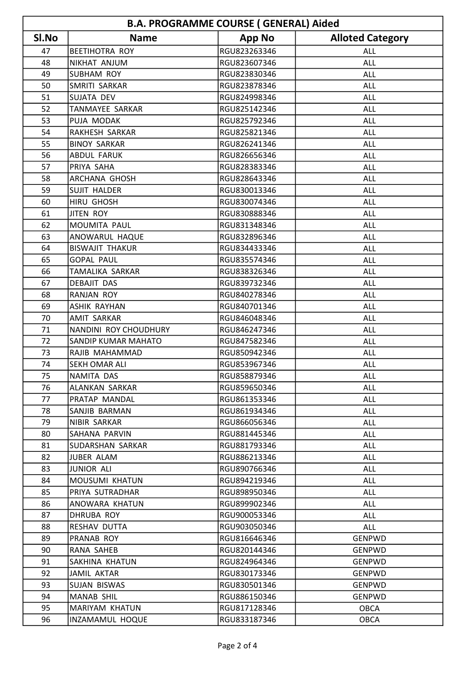| <b>B.A. PROGRAMME COURSE (GENERAL) Aided</b> |                            |               |                         |  |  |  |
|----------------------------------------------|----------------------------|---------------|-------------------------|--|--|--|
| SI.No                                        | <b>Name</b>                | <b>App No</b> | <b>Alloted Category</b> |  |  |  |
| 47                                           | <b>BEETIHOTRA ROY</b>      | RGU823263346  | <b>ALL</b>              |  |  |  |
| 48                                           | NIKHAT ANJUM               | RGU823607346  | <b>ALL</b>              |  |  |  |
| 49                                           | <b>SUBHAM ROY</b>          | RGU823830346  | ALL                     |  |  |  |
| 50                                           | SMRITI SARKAR              | RGU823878346  | <b>ALL</b>              |  |  |  |
| 51                                           | SUJATA DEV                 | RGU824998346  | <b>ALL</b>              |  |  |  |
| 52                                           | TANMAYEE SARKAR            | RGU825142346  | ALL                     |  |  |  |
| 53                                           | PUJA MODAK                 | RGU825792346  | <b>ALL</b>              |  |  |  |
| 54                                           | RAKHESH SARKAR             | RGU825821346  | <b>ALL</b>              |  |  |  |
| 55                                           | <b>BINOY SARKAR</b>        | RGU826241346  | <b>ALL</b>              |  |  |  |
| 56                                           | <b>ABDUL FARUK</b>         | RGU826656346  | <b>ALL</b>              |  |  |  |
| 57                                           | PRIYA SAHA                 | RGU828383346  | <b>ALL</b>              |  |  |  |
| 58                                           | <b>ARCHANA GHOSH</b>       | RGU828643346  | <b>ALL</b>              |  |  |  |
| 59                                           | <b>SUJIT HALDER</b>        | RGU830013346  | <b>ALL</b>              |  |  |  |
| 60                                           | <b>HIRU GHOSH</b>          | RGU830074346  | <b>ALL</b>              |  |  |  |
| 61                                           | <b>JITEN ROY</b>           | RGU830888346  | <b>ALL</b>              |  |  |  |
| 62                                           | MOUMITA PAUL               | RGU831348346  | <b>ALL</b>              |  |  |  |
| 63                                           | ANOWARUL HAQUE             | RGU832896346  | <b>ALL</b>              |  |  |  |
| 64                                           | <b>BISWAJIT THAKUR</b>     | RGU834433346  | <b>ALL</b>              |  |  |  |
| 65                                           | <b>GOPAL PAUL</b>          | RGU835574346  | <b>ALL</b>              |  |  |  |
| 66                                           | <b>TAMALIKA SARKAR</b>     | RGU838326346  | <b>ALL</b>              |  |  |  |
| 67                                           | <b>DEBAJIT DAS</b>         | RGU839732346  | <b>ALL</b>              |  |  |  |
| 68                                           | <b>RANJAN ROY</b>          | RGU840278346  | ALL                     |  |  |  |
| 69                                           | <b>ASHIK RAYHAN</b>        | RGU840701346  | <b>ALL</b>              |  |  |  |
| 70                                           | <b>AMIT SARKAR</b>         | RGU846048346  | <b>ALL</b>              |  |  |  |
| 71                                           | NANDINI ROY CHOUDHURY      | RGU846247346  | <b>ALL</b>              |  |  |  |
| 72                                           | <b>SANDIP KUMAR MAHATO</b> | RGU847582346  | ALL                     |  |  |  |
| 73                                           | RAJIB MAHAMMAD             | RGU850942346  | <b>ALL</b>              |  |  |  |
| 74                                           | <b>SEKH OMAR ALI</b>       | RGU853967346  | <b>ALL</b>              |  |  |  |
| 75                                           | NAMITA DAS                 | RGU858879346  | <b>ALL</b>              |  |  |  |
| 76                                           | ALANKAN SARKAR             | RGU859650346  | ALL                     |  |  |  |
| 77                                           | PRATAP MANDAL              | RGU861353346  | ALL                     |  |  |  |
| 78                                           | SANJIB BARMAN              | RGU861934346  | <b>ALL</b>              |  |  |  |
| 79                                           | NIBIR SARKAR               | RGU866056346  | <b>ALL</b>              |  |  |  |
| 80                                           | SAHANA PARVIN              | RGU881445346  | <b>ALL</b>              |  |  |  |
| 81                                           | SUDARSHAN SARKAR           | RGU881793346  | <b>ALL</b>              |  |  |  |
| 82                                           | JUBER ALAM                 | RGU886213346  | ALL                     |  |  |  |
| 83                                           | JUNIOR ALI                 | RGU890766346  | ALL                     |  |  |  |
| 84                                           | MOUSUMI KHATUN             | RGU894219346  | <b>ALL</b>              |  |  |  |
| 85                                           | PRIYA SUTRADHAR            | RGU898950346  | <b>ALL</b>              |  |  |  |
| 86                                           | ANOWARA KHATUN             | RGU899902346  | ALL                     |  |  |  |
| 87                                           | DHRUBA ROY                 | RGU900053346  | ALL                     |  |  |  |
| 88                                           | RESHAV DUTTA               | RGU903050346  | ALL                     |  |  |  |
| 89                                           | <b>PRANAB ROY</b>          | RGU816646346  | GENPWD                  |  |  |  |
| 90                                           | RANA SAHEB                 | RGU820144346  | <b>GENPWD</b>           |  |  |  |
| 91                                           | SAKHINA KHATUN             | RGU824964346  | <b>GENPWD</b>           |  |  |  |
| 92                                           | <b>JAMIL AKTAR</b>         | RGU830173346  | GENPWD                  |  |  |  |
| 93                                           | SUJAN BISWAS               | RGU830501346  | GENPWD                  |  |  |  |
| 94                                           | <b>MANAB SHIL</b>          | RGU886150346  | GENPWD                  |  |  |  |
| 95                                           | MARIYAM KHATUN             | RGU817128346  | <b>OBCA</b>             |  |  |  |
| 96                                           | INZAMAMUL HOQUE            | RGU833187346  | <b>OBCA</b>             |  |  |  |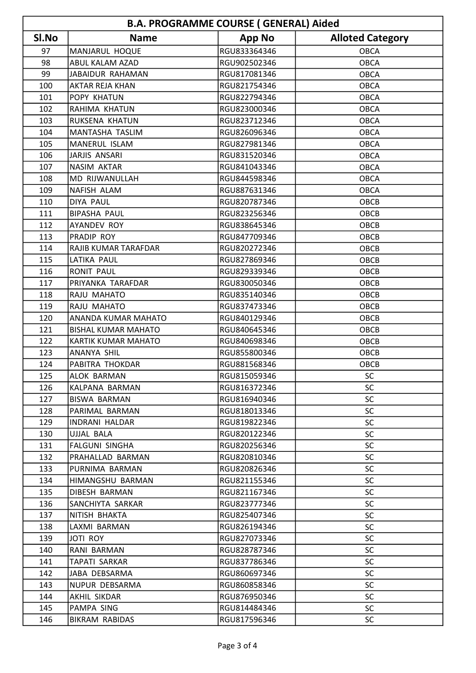| <b>B.A. PROGRAMME COURSE (GENERAL) Aided</b> |                            |               |                         |  |  |  |
|----------------------------------------------|----------------------------|---------------|-------------------------|--|--|--|
| SI.No                                        | <b>Name</b>                | <b>App No</b> | <b>Alloted Category</b> |  |  |  |
| 97                                           | MANJARUL HOQUE             | RGU833364346  | <b>OBCA</b>             |  |  |  |
| 98                                           | <b>ABUL KALAM AZAD</b>     | RGU902502346  | <b>OBCA</b>             |  |  |  |
| 99                                           | JABAIDUR RAHAMAN           | RGU817081346  | <b>OBCA</b>             |  |  |  |
| 100                                          | <b>AKTAR REJA KHAN</b>     | RGU821754346  | <b>OBCA</b>             |  |  |  |
| 101                                          | <b>POPY KHATUN</b>         | RGU822794346  | <b>OBCA</b>             |  |  |  |
| 102                                          | RAHIMA KHATUN              | RGU823000346  | <b>OBCA</b>             |  |  |  |
| 103                                          | RUKSENA KHATUN             | RGU823712346  | <b>OBCA</b>             |  |  |  |
| 104                                          | <b>MANTASHA TASLIM</b>     | RGU826096346  | <b>OBCA</b>             |  |  |  |
| 105                                          | MANERUL ISLAM              | RGU827981346  | <b>OBCA</b>             |  |  |  |
| 106                                          | <b>JARJIS ANSARI</b>       | RGU831520346  | <b>OBCA</b>             |  |  |  |
| 107                                          | NASIM AKTAR                | RGU841043346  | <b>OBCA</b>             |  |  |  |
| 108                                          | <b>MD RIJWANULLAH</b>      | RGU844598346  | <b>OBCA</b>             |  |  |  |
| 109                                          | NAFISH ALAM                | RGU887631346  | <b>OBCA</b>             |  |  |  |
| 110                                          | <b>DIYA PAUL</b>           | RGU820787346  | OBCB                    |  |  |  |
| 111                                          | <b>BIPASHA PAUL</b>        | RGU823256346  | OBCB                    |  |  |  |
| 112                                          | <b>AYANDEV ROY</b>         | RGU838645346  | OBCB                    |  |  |  |
| 113                                          | <b>PRADIP ROY</b>          | RGU847709346  | OBCB                    |  |  |  |
| 114                                          | RAJIB KUMAR TARAFDAR       | RGU820272346  | OBCB                    |  |  |  |
| 115                                          | LATIKA PAUL                | RGU827869346  | OBCB                    |  |  |  |
| 116                                          | <b>RONIT PAUL</b>          | RGU829339346  | OBCB                    |  |  |  |
| 117                                          | PRIYANKA TARAFDAR          | RGU830050346  | OBCB                    |  |  |  |
| 118                                          | RAJU MAHATO                | RGU835140346  | OBCB                    |  |  |  |
| 119                                          | RAJU MAHATO                | RGU837473346  | OBCB                    |  |  |  |
| 120                                          | <b>ANANDA KUMAR MAHATO</b> | RGU840129346  | OBCB                    |  |  |  |
| 121                                          | <b>BISHAL KUMAR MAHATO</b> | RGU840645346  | OBCB                    |  |  |  |
| 122                                          | <b>KARTIK KUMAR MAHATO</b> | RGU840698346  | OBCB                    |  |  |  |
| 123                                          | ANANYA SHIL                | RGU855800346  | OBCB                    |  |  |  |
| 124                                          | PABITRA THOKDAR            | RGU881568346  | OBCB                    |  |  |  |
| 125                                          | <b>ALOK BARMAN</b>         | RGU815059346  | SC                      |  |  |  |
| 126                                          | KALPANA BARMAN             | RGU816372346  | <b>SC</b>               |  |  |  |
| 127                                          | BISWA BARMAN               | RGU816940346  | <b>SC</b>               |  |  |  |
| 128                                          | PARIMAL BARMAN             | RGU818013346  | <b>SC</b>               |  |  |  |
| 129                                          | <b>INDRANI HALDAR</b>      | RGU819822346  | <b>SC</b>               |  |  |  |
| 130                                          | UJJAL BALA                 | RGU820122346  | <b>SC</b>               |  |  |  |
| 131                                          | <b>FALGUNI SINGHA</b>      | RGU820256346  | <b>SC</b>               |  |  |  |
| 132                                          | PRAHALLAD BARMAN           | RGU820810346  | <b>SC</b>               |  |  |  |
| 133                                          | PURNIMA BARMAN             | RGU820826346  | <b>SC</b>               |  |  |  |
| 134                                          | HIMANGSHU BARMAN           | RGU821155346  | <b>SC</b>               |  |  |  |
| 135                                          | <b>DIBESH BARMAN</b>       | RGU821167346  | <b>SC</b>               |  |  |  |
| 136                                          | SANCHIYTA SARKAR           | RGU823777346  | <b>SC</b>               |  |  |  |
| 137                                          | NITISH BHAKTA              | RGU825407346  | <b>SC</b>               |  |  |  |
| 138                                          | LAXMI BARMAN               | RGU826194346  | <b>SC</b>               |  |  |  |
| 139                                          | <b>JOTI ROY</b>            | RGU827073346  | <b>SC</b>               |  |  |  |
| 140                                          | RANI BARMAN                | RGU828787346  | <b>SC</b>               |  |  |  |
| 141                                          | <b>TAPATI SARKAR</b>       | RGU837786346  | <b>SC</b>               |  |  |  |
| 142                                          | JABA DEBSARMA              | RGU860697346  | <b>SC</b>               |  |  |  |
| 143                                          | NUPUR DEBSARMA             | RGU860858346  | <b>SC</b>               |  |  |  |
| 144                                          | AKHIL SIKDAR               | RGU876950346  | <b>SC</b>               |  |  |  |
| 145                                          | PAMPA SING                 | RGU814484346  | <b>SC</b>               |  |  |  |
| 146                                          | <b>BIKRAM RABIDAS</b>      | RGU817596346  | <b>SC</b>               |  |  |  |